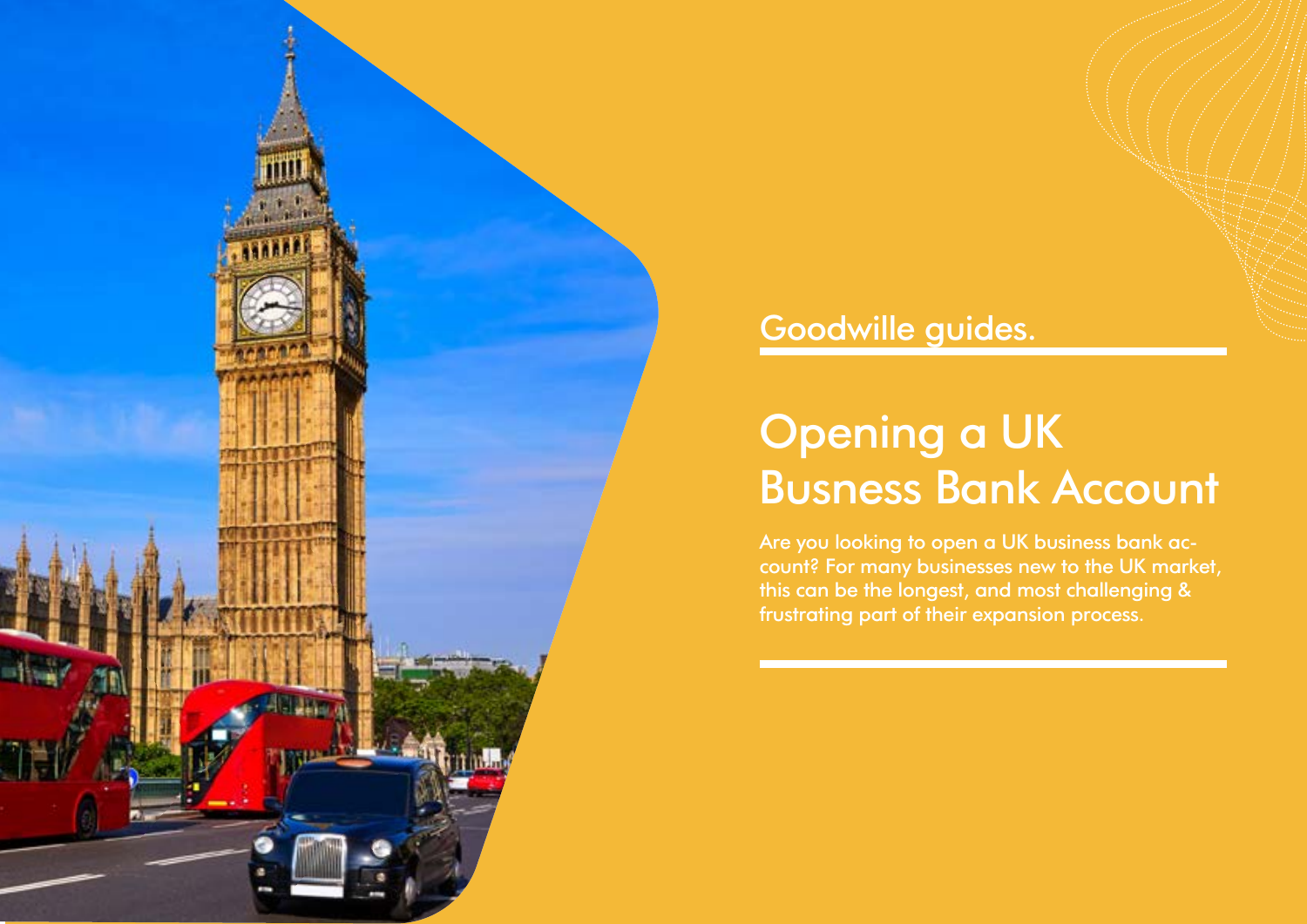

## Goodwille guides.

# Opening a UK Busness Bank Account

Are you looking to open a UK business bank account? For many businesses new to the UK market, this can be the longest, and most challenging & frustrating part of their expansion process.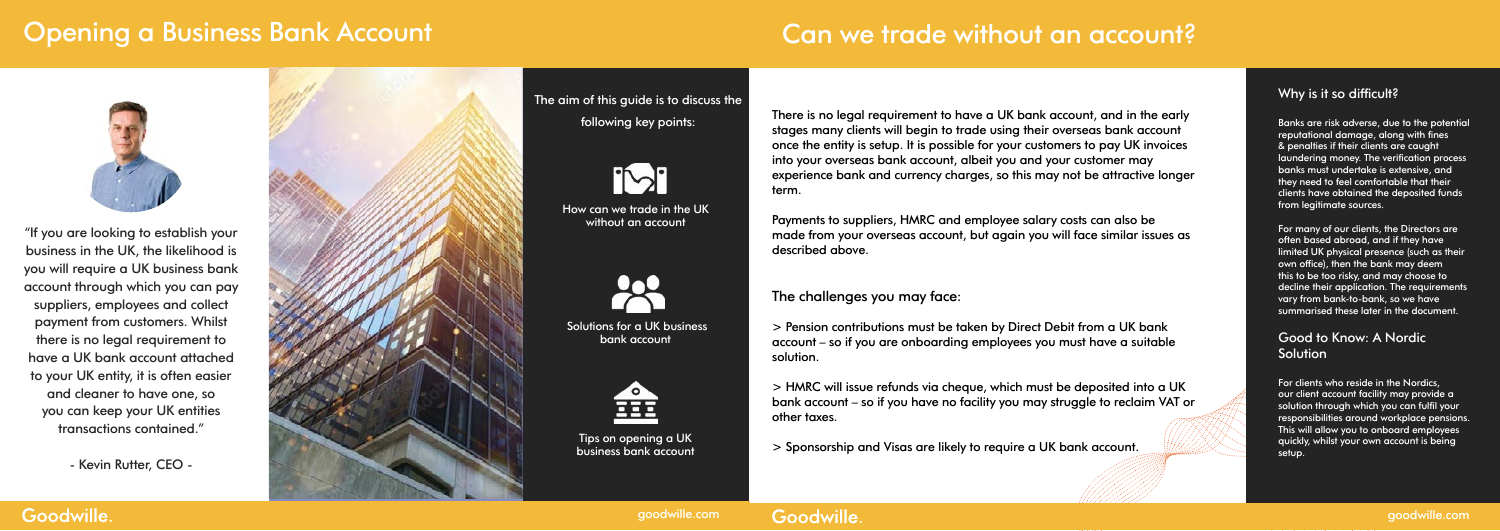## Opening a Business Bank Account



"If you are looking to establish your business in the UK, the likelihood is you will require a UK business bank account through which you can pay suppliers, employees and collect payment from customers. Whilst there is no legal requirement to have a UK bank account attached to your UK entity, it is often easier and cleaner to have one, so you can keep your UK entities transactions contained."

Solutions for a UK business bank account



- Kevin Rutter, CEO -

Goodwille.



The aim of this guide is to discuss the following key points:



How can we trade in the UK without an account

There is no legal requirement to have a UK bank account, and in the early stages many clients will begin to trade using their overseas bank account once the entity is setup. It is possible for your customers to pay UK invoices into your overseas bank account, albeit you and your customer may experience bank and currency charges, so this may not be attractive longer term.



Tips on opening a UK business bank account

#### Good to Know: A Nordic **Solution**

Payments to suppliers, HMRC and employee salary costs can also be made from your overseas account, but again you will face similar issues as described above.

The challenges you may face:

#### Why is it so difficult?

> Pension contributions must be taken by Direct Debit from a UK bank account – so if you are onboarding employees you must have a suitable solution.

> HMRC will issue refunds via cheque, which must be deposited into a UK bank account – so if you have no facility you may struggle to reclaim VAT or other taxes.

> Sponsorship and Visas are likely to require a UK bank account.

Banks are risk adverse, due to the potential reputational damage, along with fines & penalties if their clients are caught laundering money. The verification process banks must undertake is extensive, and they need to feel comfortable that their clients have obtained the deposited funds from legitimate sources.

For many of our clients, the Directors are often based abroad, and if they have limited UK physical presence (such as their own office), then the bank may deem this to be too risky, and may choose to decline their application. The requirements vary from bank-to-bank, so we have summarised these later in the document.

For clients who reside in the Nordics, our client account facility may provide a solution through which you can fulfil your responsibilities around workplace pensions. This will allow you to onboard employees quickly, whilst your own account is being setup.

### Goodwille.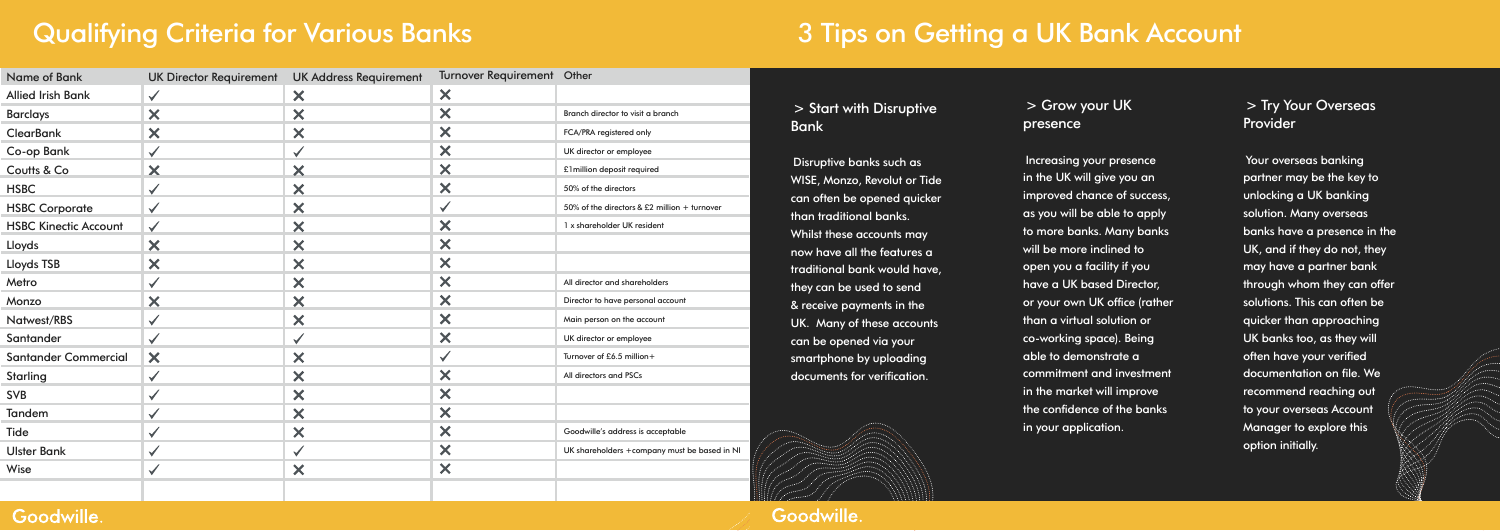# Qualifying Criteria for Various Banks

| <b>Name of Bank</b>          | <b>UK Director Requirement</b> | <b>UK Address Requirement</b> | Turnover Requirement Other |                                              |                           |
|------------------------------|--------------------------------|-------------------------------|----------------------------|----------------------------------------------|---------------------------|
| <b>Allied Irish Bank</b>     | $\checkmark$                   | $\bm{\times}$                 | X                          |                                              |                           |
| <b>Barclays</b>              | X                              | X                             | X                          | Branch director to visit a branch            |                           |
| <b>ClearBank</b>             | ×                              | ×                             | ×                          | FCA/PRA registered only                      |                           |
| <b>Co-op Bank</b>            | $\checkmark$                   | $\checkmark$                  | ×                          | UK director or employee                      |                           |
| Coutts & Co                  | X                              | X                             | ×                          | £1 million deposit required                  |                           |
| <b>HSBC</b>                  | $\checkmark$                   | X                             | ×                          | 50% of the directors                         | $\boldsymbol{\mathsf{M}}$ |
| <b>HSBC Corporate</b>        | $\checkmark$                   | ×                             | $\checkmark$               | 50% of the directors & £2 million + turnover | C(                        |
| <b>HSBC Kinectic Account</b> | $\checkmark$                   | ×                             | ×                          | 1 x shareholder UK resident                  | tł                        |
| Lloyds                       | ×                              | X                             | X                          |                                              | W                         |
| <b>Lloyds TSB</b>            | ×                              | ×                             | X                          |                                              | $\mathsf{n}$<br>tr        |
| Metro                        | $\checkmark$                   | ×                             | X                          | All director and shareholders                | $\ddot{}$                 |
| Monzo                        | ×                              | ×                             | ×                          | Director to have personal account            | &                         |
| Natwest/RBS                  | $\checkmark$                   | ×                             | ×                          | Main person on the account                   | U                         |
| Santander                    | $\checkmark$                   |                               | ×                          | UK director or employee                      | C(                        |
| <b>Santander Commercial</b>  | ×                              | ×                             | $\checkmark$               | Turnover of £6.5 million+                    | <b>Sr</b>                 |
| Starling                     | $\checkmark$                   | $\bm{\times}$                 | ×                          | All directors and PSCs                       | $\mathsf{d}$              |
| <b>SVB</b>                   | $\checkmark$                   | ×                             | ×                          |                                              |                           |
| Tandem                       | $\checkmark$                   | ×                             | ×                          |                                              |                           |
| Tide                         | $\checkmark$                   | ×                             | ×                          | Goodwille's address is acceptable            |                           |
| <b>Ulster Bank</b>           | $\checkmark$                   | $\checkmark$                  | ×                          | UK shareholders +company must be based in NI |                           |
| Wise                         | $\checkmark$                   | ×                             | ×                          |                                              |                           |
|                              |                                |                               |                            |                                              |                           |

#### Goodwille.

#### > Start with Disruptive <sub>i</sub>ank

Disruptive banks such as WISE, Monzo, Revolut or Tide an often be opened quicker than traditional banks. Whilst these accounts may ow have all the features a raditional bank would have, they can be used to send receive payments in the K. Many of these accounts an be opened via your martphone by uploading ocuments for verification.

#### > Try Your Overseas **Provider**

# 3 Tips on Getting a UK Bank Account

#### > Grow your UK presence

Increasing your presence in the UK will give you an improved chance of success, as you will be able to apply to more banks. Many banks will be more inclined to open you a facility if you have a UK based Director, or your own UK office (rather than a virtual solution or co-working space). Being able to demonstrate a commitment and investment in the market will improve the confidence of the banks in your application.

Your overseas banking partner may be the key to unlocking a UK banking solution. Many overseas banks have a presence in the UK, and if they do not, they may have a partner bank through whom they can offer solutions. This can often be quicker than approaching UK banks too, as they will often have your verified documentation on file. We recommend reaching out to your overseas Account Manager to explore this option initially.

Goodwille.